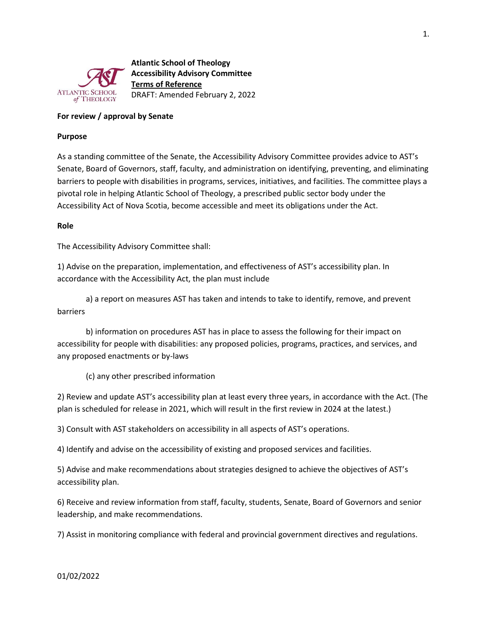

**Atlantic School of Theology Accessibility Advisory Committee Terms of Reference** DRAFT: Amended February 2, 2022

# **For review / approval by Senate**

#### **Purpose**

As a standing committee of the Senate, the Accessibility Advisory Committee provides advice to AST's Senate, Board of Governors, staff, faculty, and administration on identifying, preventing, and eliminating barriers to people with disabilities in programs, services, initiatives, and facilities. The committee plays a pivotal role in helping Atlantic School of Theology, a prescribed public sector body under the Accessibility Act of Nova Scotia, become accessible and meet its obligations under the Act.

## **Role**

The Accessibility Advisory Committee shall:

1) Advise on the preparation, implementation, and effectiveness of AST's accessibility plan. In accordance with the Accessibility Act, the plan must include

a) a report on measures AST has taken and intends to take to identify, remove, and prevent barriers

b) information on procedures AST has in place to assess the following for their impact on accessibility for people with disabilities: any proposed policies, programs, practices, and services, and any proposed enactments or by-laws

(c) any other prescribed information

2) Review and update AST's accessibility plan at least every three years, in accordance with the Act. (The plan is scheduled for release in 2021, which will result in the first review in 2024 at the latest.)

3) Consult with AST stakeholders on accessibility in all aspects of AST's operations.

4) Identify and advise on the accessibility of existing and proposed services and facilities.

5) Advise and make recommendations about strategies designed to achieve the objectives of AST's accessibility plan.

6) Receive and review information from staff, faculty, students, Senate, Board of Governors and senior leadership, and make recommendations.

7) Assist in monitoring compliance with federal and provincial government directives and regulations.